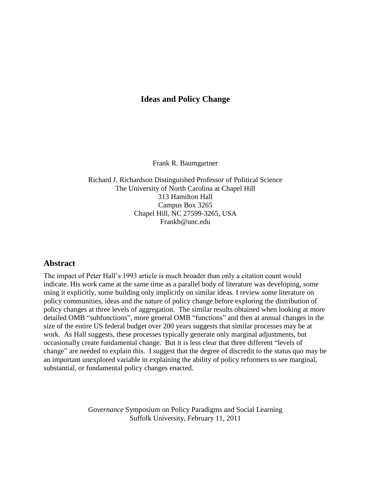# **Ideas and Policy Change**

Frank R. Baumgartner

Richard J. Richardson Distinguished Professor of Political Science The University of North Carolina at Chapel Hill 313 Hamilton Hall Campus Box 3265 Chapel Hill, NC 27599-3265, USA Frankb@unc.edu

## **Abstract**

The impact of Peter Hall"s 1993 article is much broader than only a citation count would indicate. His work came at the same time as a parallel body of literature was developing, some using it explicitly, some building only implicitly on similar ideas. I review some literature on policy communities, ideas and the nature of policy change before exploring the distribution of policy changes at three levels of aggregation. The similar results obtained when looking at more detailed OMB "subfunctions", more general OMB "functions" and then at annual changes in the size of the entire US federal budget over 200 years suggests that similar processes may be at work. As Hall suggests, these processes typically generate only marginal adjustments, but occasionally create fundamental change. But it is less clear that three different "levels of change" are needed to explain this. I suggest that the degree of discredit to the status quo may be an important unexplored variable in explaining the ability of policy reformers to see marginal, substantial, or fundamental policy changes enacted.

> *Governance* Symposium on Policy Paradigms and Social Learning Suffolk University, February 11, 2011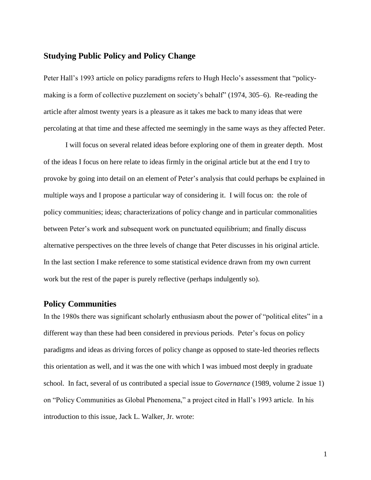## **Studying Public Policy and Policy Change**

Peter Hall"s 1993 article on policy paradigms refers to Hugh Heclo"s assessment that "policymaking is a form of collective puzzlement on society's behalf" (1974, 305–6). Re-reading the article after almost twenty years is a pleasure as it takes me back to many ideas that were percolating at that time and these affected me seemingly in the same ways as they affected Peter.

I will focus on several related ideas before exploring one of them in greater depth. Most of the ideas I focus on here relate to ideas firmly in the original article but at the end I try to provoke by going into detail on an element of Peter"s analysis that could perhaps be explained in multiple ways and I propose a particular way of considering it. I will focus on: the role of policy communities; ideas; characterizations of policy change and in particular commonalities between Peter"s work and subsequent work on punctuated equilibrium; and finally discuss alternative perspectives on the three levels of change that Peter discusses in his original article. In the last section I make reference to some statistical evidence drawn from my own current work but the rest of the paper is purely reflective (perhaps indulgently so).

## **Policy Communities**

In the 1980s there was significant scholarly enthusiasm about the power of "political elites" in a different way than these had been considered in previous periods. Peter's focus on policy paradigms and ideas as driving forces of policy change as opposed to state-led theories reflects this orientation as well, and it was the one with which I was imbued most deeply in graduate school. In fact, several of us contributed a special issue to *Governance* (1989, volume 2 issue 1) on "Policy Communities as Global Phenomena," a project cited in Hall"s 1993 article. In his introduction to this issue, Jack L. Walker, Jr. wrote: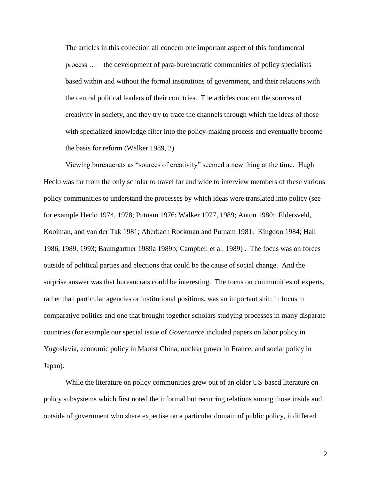The articles in this collection all concern one important aspect of this fundamental process … – the development of para-bureaucratic communities of policy specialists based within and without the formal institutions of government, and their relations with the central political leaders of their countries. The articles concern the sources of creativity in society, and they try to trace the channels through which the ideas of those with specialized knowledge filter into the policy-making process and eventually become the basis for reform (Walker 1989, 2).

Viewing bureaucrats as "sources of creativity" seemed a new thing at the time. Hugh Heclo was far from the only scholar to travel far and wide to interview members of these various policy communities to understand the processes by which ideas were translated into policy (see for example Heclo 1974, 1978; Putnam 1976; Walker 1977, 1989; Anton 1980; Eldersveld, Kooiman, and van der Tak 1981; Aberbach Rockman and Putnam 1981; Kingdon 1984; Hall 1986, 1989, 1993; Baumgartner 1989a 1989b; Campbell et al. 1989) . The focus was on forces outside of political parties and elections that could be the cause of social change. And the surprise answer was that bureaucrats could be interesting. The focus on communities of experts, rather than particular agencies or institutional positions, was an important shift in focus in comparative politics and one that brought together scholars studying processes in many disparate countries (for example our special issue of *Governance* included papers on labor policy in Yugoslavia, economic policy in Maoist China, nuclear power in France, and social policy in Japan).

While the literature on policy communities grew out of an older US-based literature on policy subsystems which first noted the informal but recurring relations among those inside and outside of government who share expertise on a particular domain of public policy, it differed

2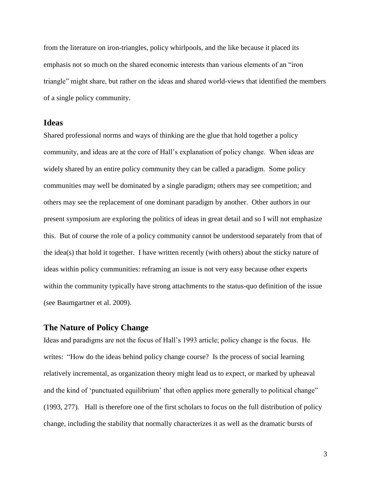from the literature on iron-triangles, policy whirlpools, and the like because it placed its emphasis not so much on the shared economic interests than various elements of an "iron triangle" might share, but rather on the ideas and shared world-views that identified the members of a single policy community.

### **Ideas**

Shared professional norms and ways of thinking are the glue that hold together a policy community, and ideas are at the core of Hall"s explanation of policy change. When ideas are widely shared by an entire policy community they can be called a paradigm. Some policy communities may well be dominated by a single paradigm; others may see competition; and others may see the replacement of one dominant paradigm by another. Other authors in our present symposium are exploring the politics of ideas in great detail and so I will not emphasize this. But of course the role of a policy community cannot be understood separately from that of the idea(s) that hold it together. I have written recently (with others) about the sticky nature of ideas within policy communities: reframing an issue is not very easy because other experts within the community typically have strong attachments to the status-quo definition of the issue (see Baumgartner et al. 2009).

## **The Nature of Policy Change**

Ideas and paradigms are not the focus of Hall"s 1993 article; policy change is the focus. He writes: "How do the ideas behind policy change course? Is the process of social learning relatively incremental, as organization theory might lead us to expect, or marked by upheaval and the kind of 'punctuated equilibrium' that often applies more generally to political change" (1993, 277). Hall is therefore one of the first scholars to focus on the full distribution of policy change, including the stability that normally characterizes it as well as the dramatic bursts of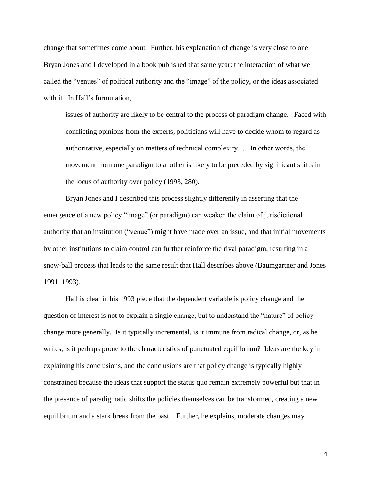change that sometimes come about. Further, his explanation of change is very close to one Bryan Jones and I developed in a book published that same year: the interaction of what we called the "venues" of political authority and the "image" of the policy, or the ideas associated with it. In Hall's formulation,

issues of authority are likely to be central to the process of paradigm change. Faced with conflicting opinions from the experts, politicians will have to decide whom to regard as authoritative, especially on matters of technical complexity…. In other words, the movement from one paradigm to another is likely to be preceded by significant shifts in the locus of authority over policy (1993, 280).

Bryan Jones and I described this process slightly differently in asserting that the emergence of a new policy "image" (or paradigm) can weaken the claim of jurisdictional authority that an institution ("venue") might have made over an issue, and that initial movements by other institutions to claim control can further reinforce the rival paradigm, resulting in a snow-ball process that leads to the same result that Hall describes above (Baumgartner and Jones 1991, 1993).

Hall is clear in his 1993 piece that the dependent variable is policy change and the question of interest is not to explain a single change, but to understand the "nature" of policy change more generally. Is it typically incremental, is it immune from radical change, or, as he writes, is it perhaps prone to the characteristics of punctuated equilibrium? Ideas are the key in explaining his conclusions, and the conclusions are that policy change is typically highly constrained because the ideas that support the status quo remain extremely powerful but that in the presence of paradigmatic shifts the policies themselves can be transformed, creating a new equilibrium and a stark break from the past. Further, he explains, moderate changes may

4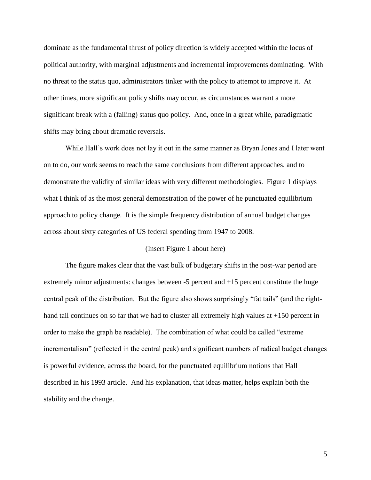dominate as the fundamental thrust of policy direction is widely accepted within the locus of political authority, with marginal adjustments and incremental improvements dominating. With no threat to the status quo, administrators tinker with the policy to attempt to improve it. At other times, more significant policy shifts may occur, as circumstances warrant a more significant break with a (failing) status quo policy. And, once in a great while, paradigmatic shifts may bring about dramatic reversals.

While Hall's work does not lay it out in the same manner as Bryan Jones and I later went on to do, our work seems to reach the same conclusions from different approaches, and to demonstrate the validity of similar ideas with very different methodologies. Figure 1 displays what I think of as the most general demonstration of the power of he punctuated equilibrium approach to policy change. It is the simple frequency distribution of annual budget changes across about sixty categories of US federal spending from 1947 to 2008.

#### (Insert Figure 1 about here)

The figure makes clear that the vast bulk of budgetary shifts in the post-war period are extremely minor adjustments: changes between -5 percent and +15 percent constitute the huge central peak of the distribution. But the figure also shows surprisingly "fat tails" (and the righthand tail continues on so far that we had to cluster all extremely high values at +150 percent in order to make the graph be readable). The combination of what could be called "extreme incrementalism" (reflected in the central peak) and significant numbers of radical budget changes is powerful evidence, across the board, for the punctuated equilibrium notions that Hall described in his 1993 article. And his explanation, that ideas matter, helps explain both the stability and the change.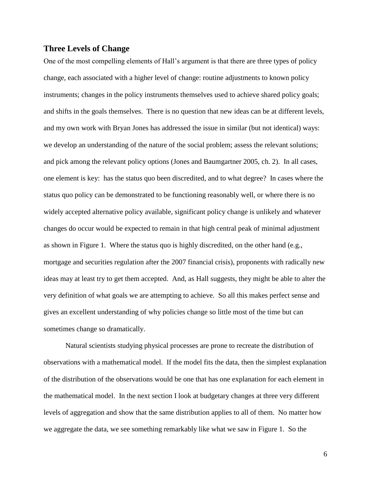## **Three Levels of Change**

One of the most compelling elements of Hall"s argument is that there are three types of policy change, each associated with a higher level of change: routine adjustments to known policy instruments; changes in the policy instruments themselves used to achieve shared policy goals; and shifts in the goals themselves. There is no question that new ideas can be at different levels, and my own work with Bryan Jones has addressed the issue in similar (but not identical) ways: we develop an understanding of the nature of the social problem; assess the relevant solutions; and pick among the relevant policy options (Jones and Baumgartner 2005, ch. 2). In all cases, one element is key: has the status quo been discredited, and to what degree? In cases where the status quo policy can be demonstrated to be functioning reasonably well, or where there is no widely accepted alternative policy available, significant policy change is unlikely and whatever changes do occur would be expected to remain in that high central peak of minimal adjustment as shown in Figure 1. Where the status quo is highly discredited, on the other hand (e.g., mortgage and securities regulation after the 2007 financial crisis), proponents with radically new ideas may at least try to get them accepted. And, as Hall suggests, they might be able to alter the very definition of what goals we are attempting to achieve. So all this makes perfect sense and gives an excellent understanding of why policies change so little most of the time but can sometimes change so dramatically.

Natural scientists studying physical processes are prone to recreate the distribution of observations with a mathematical model. If the model fits the data, then the simplest explanation of the distribution of the observations would be one that has one explanation for each element in the mathematical model. In the next section I look at budgetary changes at three very different levels of aggregation and show that the same distribution applies to all of them. No matter how we aggregate the data, we see something remarkably like what we saw in Figure 1. So the

6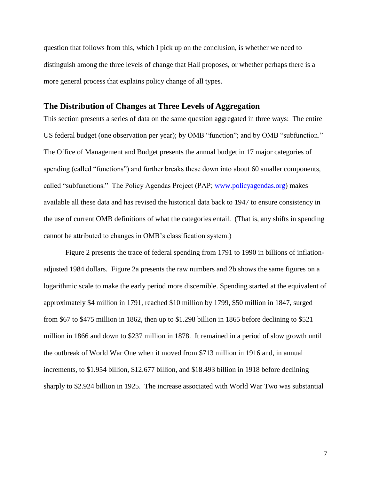question that follows from this, which I pick up on the conclusion, is whether we need to distinguish among the three levels of change that Hall proposes, or whether perhaps there is a more general process that explains policy change of all types.

### **The Distribution of Changes at Three Levels of Aggregation**

This section presents a series of data on the same question aggregated in three ways: The entire US federal budget (one observation per year); by OMB "function"; and by OMB "subfunction." The Office of Management and Budget presents the annual budget in 17 major categories of spending (called "functions") and further breaks these down into about 60 smaller components, called "subfunctions." The Policy Agendas Project (PAP; [www.policyagendas.org\)](http://www.policyagendas.org/) makes available all these data and has revised the historical data back to 1947 to ensure consistency in the use of current OMB definitions of what the categories entail. (That is, any shifts in spending cannot be attributed to changes in OMB"s classification system.)

Figure 2 presents the trace of federal spending from 1791 to 1990 in billions of inflationadjusted 1984 dollars. Figure 2a presents the raw numbers and 2b shows the same figures on a logarithmic scale to make the early period more discernible. Spending started at the equivalent of approximately \$4 million in 1791, reached \$10 million by 1799, \$50 million in 1847, surged from \$67 to \$475 million in 1862, then up to \$1.298 billion in 1865 before declining to \$521 million in 1866 and down to \$237 million in 1878. It remained in a period of slow growth until the outbreak of World War One when it moved from \$713 million in 1916 and, in annual increments, to \$1.954 billion, \$12.677 billion, and \$18.493 billion in 1918 before declining sharply to \$2.924 billion in 1925. The increase associated with World War Two was substantial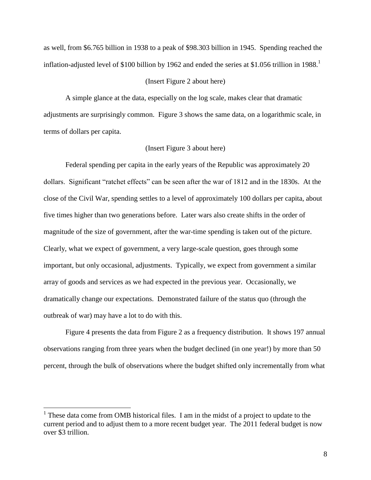as well, from \$6.765 billion in 1938 to a peak of \$98.303 billion in 1945. Spending reached the inflation-adjusted level of \$100 billion by 1962 and ended the series at \$1.056 trillion in 1988.<sup>1</sup>

### (Insert Figure 2 about here)

A simple glance at the data, especially on the log scale, makes clear that dramatic adjustments are surprisingly common. Figure 3 shows the same data, on a logarithmic scale, in terms of dollars per capita.

### (Insert Figure 3 about here)

Federal spending per capita in the early years of the Republic was approximately 20 dollars. Significant "ratchet effects" can be seen after the war of 1812 and in the 1830s. At the close of the Civil War, spending settles to a level of approximately 100 dollars per capita, about five times higher than two generations before. Later wars also create shifts in the order of magnitude of the size of government, after the war-time spending is taken out of the picture. Clearly, what we expect of government, a very large-scale question, goes through some important, but only occasional, adjustments. Typically, we expect from government a similar array of goods and services as we had expected in the previous year. Occasionally, we dramatically change our expectations. Demonstrated failure of the status quo (through the outbreak of war) may have a lot to do with this.

Figure 4 presents the data from Figure 2 as a frequency distribution. It shows 197 annual observations ranging from three years when the budget declined (in one year!) by more than 50 percent, through the bulk of observations where the budget shifted only incrementally from what

 $\overline{a}$ 

<sup>&</sup>lt;sup>1</sup> These data come from OMB historical files. I am in the midst of a project to update to the current period and to adjust them to a more recent budget year. The 2011 federal budget is now over \$3 trillion.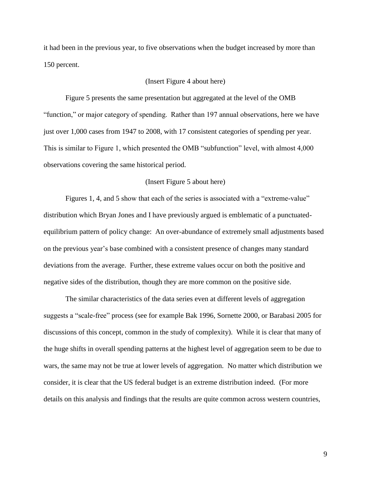it had been in the previous year, to five observations when the budget increased by more than 150 percent.

#### (Insert Figure 4 about here)

Figure 5 presents the same presentation but aggregated at the level of the OMB "function," or major category of spending. Rather than 197 annual observations, here we have just over 1,000 cases from 1947 to 2008, with 17 consistent categories of spending per year. This is similar to Figure 1, which presented the OMB "subfunction" level, with almost 4,000 observations covering the same historical period.

### (Insert Figure 5 about here)

Figures 1, 4, and 5 show that each of the series is associated with a "extreme-value" distribution which Bryan Jones and I have previously argued is emblematic of a punctuatedequilibrium pattern of policy change: An over-abundance of extremely small adjustments based on the previous year"s base combined with a consistent presence of changes many standard deviations from the average. Further, these extreme values occur on both the positive and negative sides of the distribution, though they are more common on the positive side.

The similar characteristics of the data series even at different levels of aggregation suggests a "scale-free" process (see for example Bak 1996, Sornette 2000, or Barabasi 2005 for discussions of this concept, common in the study of complexity). While it is clear that many of the huge shifts in overall spending patterns at the highest level of aggregation seem to be due to wars, the same may not be true at lower levels of aggregation. No matter which distribution we consider, it is clear that the US federal budget is an extreme distribution indeed. (For more details on this analysis and findings that the results are quite common across western countries,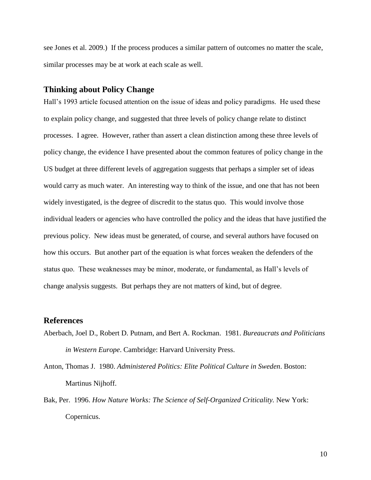see Jones et al. 2009.) If the process produces a similar pattern of outcomes no matter the scale, similar processes may be at work at each scale as well.

### **Thinking about Policy Change**

Hall"s 1993 article focused attention on the issue of ideas and policy paradigms. He used these to explain policy change, and suggested that three levels of policy change relate to distinct processes. I agree. However, rather than assert a clean distinction among these three levels of policy change, the evidence I have presented about the common features of policy change in the US budget at three different levels of aggregation suggests that perhaps a simpler set of ideas would carry as much water. An interesting way to think of the issue, and one that has not been widely investigated, is the degree of discredit to the status quo. This would involve those individual leaders or agencies who have controlled the policy and the ideas that have justified the previous policy. New ideas must be generated, of course, and several authors have focused on how this occurs. But another part of the equation is what forces weaken the defenders of the status quo. These weaknesses may be minor, moderate, or fundamental, as Hall"s levels of change analysis suggests. But perhaps they are not matters of kind, but of degree.

### **References**

- Aberbach, Joel D., Robert D. Putnam, and Bert A. Rockman. 1981. *Bureaucrats and Politicians in Western Europe*. Cambridge: Harvard University Press.
- Anton, Thomas J. 1980. *Administered Politics: Elite Political Culture in Sweden*. Boston: Martinus Nijhoff.
- Bak, Per. 1996. *How Nature Works: The Science of Self-Organized Criticality.* New York: Copernicus.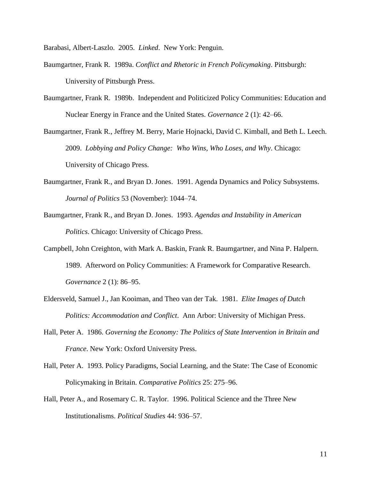Barabasi, Albert-Laszlo. 2005. *Linked*. New York: Penguin.

- Baumgartner, Frank R. 1989a. *Conflict and Rhetoric in French Policymaking*. Pittsburgh: University of Pittsburgh Press.
- Baumgartner, Frank R. 1989b. Independent and Politicized Policy Communities: Education and Nuclear Energy in France and the United States. *Governance* 2 (1): 42*–*66.
- Baumgartner, Frank R., Jeffrey M. Berry, Marie Hojnacki, David C. Kimball, and Beth L. Leech. 2009. *Lobbying and Policy Change: Who Wins, Who Loses, and Why*. Chicago: University of Chicago Press.
- Baumgartner, Frank R., and Bryan D. Jones. 1991. Agenda Dynamics and Policy Subsystems. *Journal of Politics* 53 (November): 1044–74.
- Baumgartner, Frank R., and Bryan D. Jones. 1993. *Agendas and Instability in American Politics*. Chicago: University of Chicago Press.
- Campbell, John Creighton, with Mark A. Baskin, Frank R. Baumgartner, and Nina P. Halpern. 1989. Afterword on Policy Communities: A Framework for Comparative Research. *Governance* 2 (1): 86*–*95.
- Eldersveld, Samuel J., Jan Kooiman, and Theo van der Tak. 1981. *Elite Images of Dutch Politics: Accommodation and Conflict*. Ann Arbor: University of Michigan Press.
- Hall, Peter A. 1986. *Governing the Economy: The Politics of State Intervention in Britain and France*. New York: Oxford University Press.
- Hall, Peter A. 1993. Policy Paradigms, Social Learning, and the State: The Case of Economic Policymaking in Britain. *Comparative Politics* 25: 275–96.
- Hall, Peter A., and Rosemary C. R. Taylor. 1996. Political Science and the Three New Institutionalisms. *Political Studies* 44: 936–57.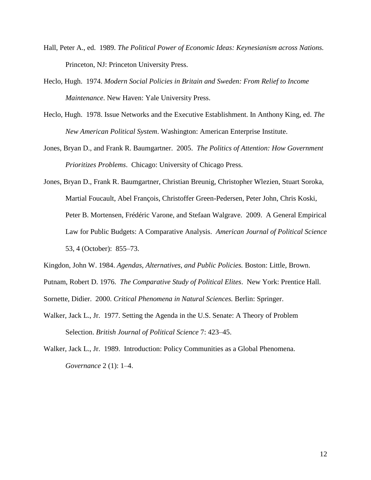- Hall, Peter A., ed. 1989. *The Political Power of Economic Ideas: Keynesianism across Nations.* Princeton, NJ: Princeton University Press.
- Heclo, Hugh. 1974. *Modern Social Policies in Britain and Sweden: From Relief to Income Maintenance*. New Haven: Yale University Press.
- Heclo, Hugh. 1978. Issue Networks and the Executive Establishment. In Anthony King, ed. *The New American Political System*. Washington: American Enterprise Institute.
- Jones, Bryan D., and Frank R. Baumgartner. 2005. *The Politics of Attention: How Government Prioritizes Problems*. Chicago: University of Chicago Press.
- Jones, Bryan D., Frank R. Baumgartner, Christian Breunig, Christopher Wlezien, Stuart Soroka, Martial Foucault, Abel François, Christoffer Green-Pedersen, Peter John, Chris Koski, Peter B. Mortensen, Frédéric Varone, and Stefaan Walgrave. 2009. A General Empirical Law for Public Budgets: A Comparative Analysis. *American Journal of Political Science* 53, 4 (October): 855–73.
- Kingdon, John W. 1984. *Agendas, Alternatives, and Public Policies.* Boston: Little, Brown.

Putnam, Robert D. 1976. *The Comparative Study of Political Elites*. New York: Prentice Hall.

Sornette, Didier. 2000. *Critical Phenomena in Natural Sciences.* Berlin: Springer.

Walker, Jack L., Jr. 1977. Setting the Agenda in the U.S. Senate: A Theory of Problem Selection. *British Journal of Political Science* 7: 423–45.

Walker, Jack L., Jr. 1989. Introduction: Policy Communities as a Global Phenomena. *Governance* 2 (1): 1*–*4.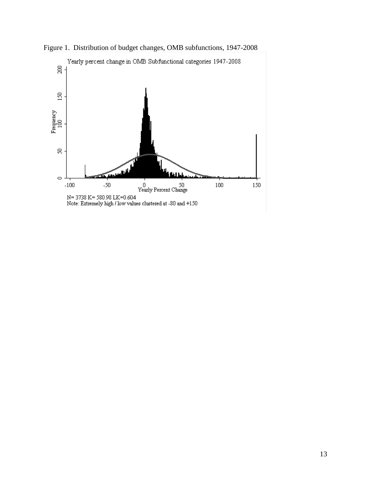

Figure 1. Distribution of budget changes, OMB subfunctions, 1947-2008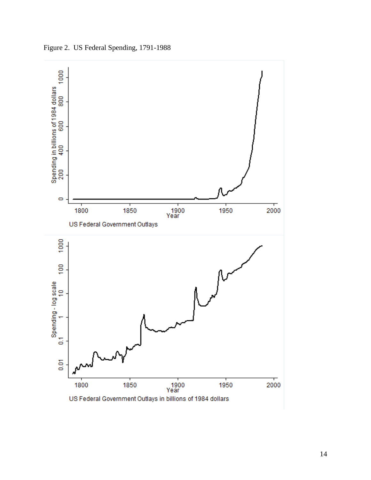1000  $\bullet$  $\frac{1}{2000}$ 1900<br>Year 1950 1800 1850 US Federal Government Outlays 1000  $\frac{6}{2}$ S  $\overline{0}$  $\frac{1}{2000}$ 1900<br>Year 1850 1800 1950 US Federal Government Outlays in billions of 1984 dollars

Figure 2. US Federal Spending, 1791-1988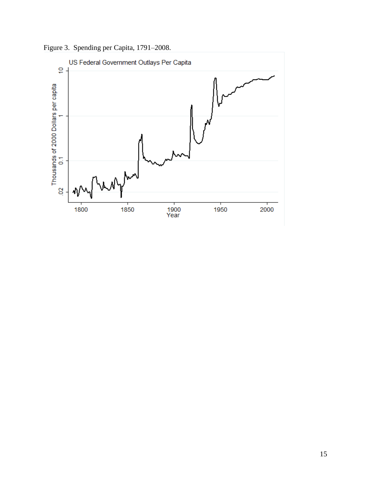Figure 3. Spending per Capita, 1791–2008.